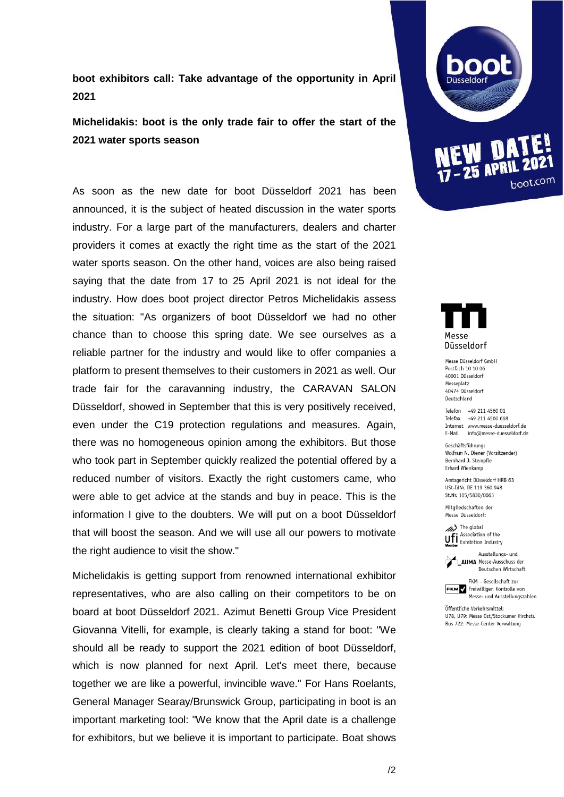## **boot exhibitors call: Take advantage of the opportunity in April 2021**

# **Michelidakis: boot is the only trade fair to offer the start of the 2021 water sports season**

As soon as the new date for boot Düsseldorf 2021 has been announced, it is the subject of heated discussion in the water sports industry. For a large part of the manufacturers, dealers and charter providers it comes at exactly the right time as the start of the 2021 water sports season. On the other hand, voices are also being raised saying that the date from 17 to 25 April 2021 is not ideal for the industry. How does boot project director Petros Michelidakis assess the situation: "As organizers of boot Düsseldorf we had no other chance than to choose this spring date. We see ourselves as a reliable partner for the industry and would like to offer companies a platform to present themselves to their customers in 2021 as well. Our trade fair for the caravanning industry, the CARAVAN SALON Düsseldorf, showed in September that this is very positively received, even under the C19 protection regulations and measures. Again, there was no homogeneous opinion among the exhibitors. But those who took part in September quickly realized the potential offered by a reduced number of visitors. Exactly the right customers came, who were able to get advice at the stands and buy in peace. This is the information I give to the doubters. We will put on a boot Düsseldorf that will boost the season. And we will use all our powers to motivate the right audience to visit the show."

Michelidakis is getting support from renowned international exhibitor representatives, who are also calling on their competitors to be on board at boot Düsseldorf 2021. Azimut Benetti Group Vice President Giovanna Vitelli, for example, is clearly taking a stand for boot: "We should all be ready to support the 2021 edition of boot Düsseldorf, which is now planned for next April. Let's meet there, because together we are like a powerful, invincible wave." For Hans Roelants, General Manager Searay/Brunswick Group, participating in boot is an important marketing tool: "We know that the April date is a challenge for exhibitors, but we believe it is important to participate. Boat shows





Messe Düsseldorf GmbH Postfach 10 10 06 40001 Düsseldorf Messeplatz 40474 Düsseldorf Deutschland

Telefon +49 211 4560 01 Telefax +49 211 4560 668 Internet www.messe-duesseldorf.de E-Mail info@messe-duesseldorf.de

Geschäftsführung: Wolfram N. Diener (Vorsitzender) Bernhard J. Stempfle Erhard Wienkamp

Amtsgericht Dijsseldorf HRR 63 USt-TdNr. DF 119 360 948 St.Nr. 105/5830/0663

Mitgliedschaften der Messe Düsseldorf:

 $\gg$  The global Association of the **U.F.** Association of the<br>**Momber** Exhibition Industry



Ausstellungs- und **AUMA** Messe-Ausschuss der Deutschen Wirtschaft



Öffentliche Verkehrsmittel: U78, U79: Messe Ost/Stockumer Kirchstr. Bus 722: Messe-Center Verwaltung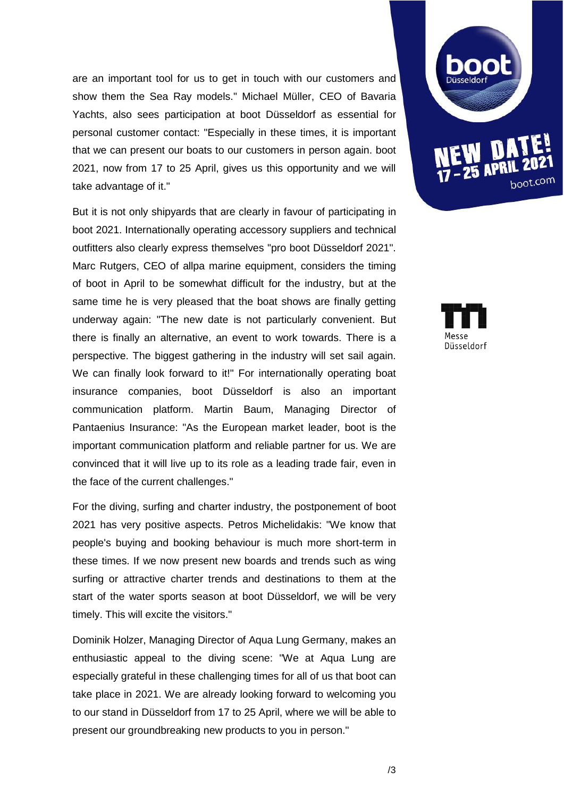are an important tool for us to get in touch with our customers and show them the Sea Ray models." Michael Müller, CEO of Bavaria Yachts, also sees participation at boot Düsseldorf as essential for personal customer contact: "Especially in these times, it is important that we can present our boats to our customers in person again. boot 2021, now from 17 to 25 April, gives us this opportunity and we will take advantage of it."

But it is not only shipyards that are clearly in favour of participating in boot 2021. Internationally operating accessory suppliers and technical outfitters also clearly express themselves "pro boot Düsseldorf 2021". Marc Rutgers, CEO of allpa marine equipment, considers the timing of boot in April to be somewhat difficult for the industry, but at the same time he is very pleased that the boat shows are finally getting underway again: "The new date is not particularly convenient. But there is finally an alternative, an event to work towards. There is a perspective. The biggest gathering in the industry will set sail again. We can finally look forward to it!" For internationally operating boat insurance companies, boot Düsseldorf is also an important communication platform. Martin Baum, Managing Director of Pantaenius Insurance: "As the European market leader, boot is the important communication platform and reliable partner for us. We are convinced that it will live up to its role as a leading trade fair, even in the face of the current challenges."

For the diving, surfing and charter industry, the postponement of boot 2021 has very positive aspects. Petros Michelidakis: "We know that people's buying and booking behaviour is much more short-term in these times. If we now present new boards and trends such as wing surfing or attractive charter trends and destinations to them at the start of the water sports season at boot Düsseldorf, we will be very timely. This will excite the visitors."

Dominik Holzer, Managing Director of Aqua Lung Germany, makes an enthusiastic appeal to the diving scene: "We at Aqua Lung are especially grateful in these challenging times for all of us that boot can take place in 2021. We are already looking forward to welcoming you to our stand in Düsseldorf from 17 to 25 April, where we will be able to present our groundbreaking new products to you in person."



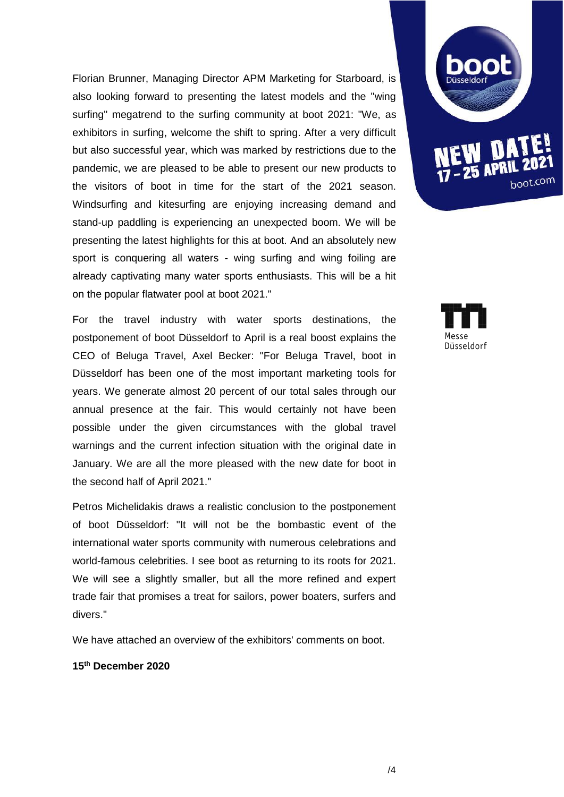Florian Brunner, Managing Director APM Marketing for Starboard, is also looking forward to presenting the latest models and the "wing surfing" megatrend to the surfing community at boot 2021: "We, as exhibitors in surfing, welcome the shift to spring. After a very difficult but also successful year, which was marked by restrictions due to the pandemic, we are pleased to be able to present our new products to the visitors of boot in time for the start of the 2021 season. Windsurfing and kitesurfing are enjoying increasing demand and stand-up paddling is experiencing an unexpected boom. We will be presenting the latest highlights for this at boot. And an absolutely new sport is conquering all waters - wing surfing and wing foiling are already captivating many water sports enthusiasts. This will be a hit on the popular flatwater pool at boot 2021."

For the travel industry with water sports destinations, the postponement of boot Düsseldorf to April is a real boost explains the CEO of Beluga Travel, Axel Becker: "For Beluga Travel, boot in Düsseldorf has been one of the most important marketing tools for years. We generate almost 20 percent of our total sales through our annual presence at the fair. This would certainly not have been possible under the given circumstances with the global travel warnings and the current infection situation with the original date in January. We are all the more pleased with the new date for boot in the second half of April 2021."

Petros Michelidakis draws a realistic conclusion to the postponement of boot Düsseldorf: "It will not be the bombastic event of the international water sports community with numerous celebrations and world-famous celebrities. I see boot as returning to its roots for 2021. We will see a slightly smaller, but all the more refined and expert trade fair that promises a treat for sailors, power boaters, surfers and divers."

We have attached an overview of the exhibitors' comments on boot.

**15th December 2020**



Düsseldorf